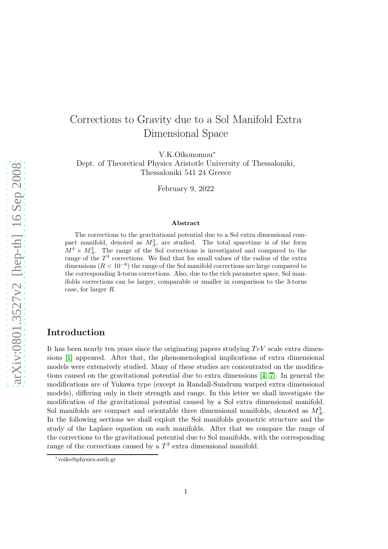# Corrections to Gravity due to a Sol Manifold Extra Dimensional Space

V.K.Oikonomou<sup>∗</sup>

Dept. of Theoretical Physics Aristotle University of Thessaloniki, Thessaloniki 541 24 Greece

February 9, 2022

#### Abstract

The corrections to the gravitational potential due to a Sol extra dimensional compact manifold, denoted as  $M_A^3$ , are studied. The total spacetime is of the form  $M^4 \times M_A^3$ . The range of the Sol corrections is investigated and compared to the range of the  $T^3$  corrections. We find that for small values of the radius of the extra dimensions  $(R < 10^{-6})$  the range of the Sol manifold corrections are large compared to the corresponding 3-torus corrections. Also, due to the rich parameter space, Sol manifolds corrections can be larger, comparable or smaller in comparison to the 3-torus case, for larger R.

### Introduction

It has been nearly ten years since the originating papers studying  $TeV$  scale extra dimensions [\[1\]](#page-12-0) appeared. After that, the phenomenological implications of extra dimensional models were extensively studied. Many of these studies are concentrated on the modifications caused on the gravitational potential due to extra dimensions [\[4,](#page-12-1) [7\]](#page-12-2). In general the modifications are of Yukawa type (except in Randall-Sundrum warped extra dimensional models), differing only in their strength and range. In this letter we shall investigate the modification of the gravitational potential caused by a Sol extra dimensional manifold. Sol manifolds are compact and orientable three dimensional manifolds, denoted as  $M_A^3$ . In the following sections we shall exploit the Sol manifolds geometric structure and the study of the Laplace equation on such manifolds. After that we compare the range of the corrections to the gravitational potential due to Sol manifolds, with the corresponding range of the corrections caused by a  $T^3$  extra dimensional manifold.

<sup>∗</sup> voiko@physics.auth.gr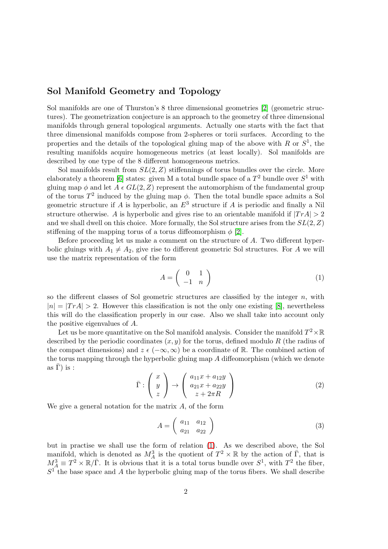# Sol Manifold Geometry and Topology

Sol manifolds are one of Thurston's 8 three dimensional geometries [\[2\]](#page-12-3) (geometric structures). The geometrization conjecture is an approach to the geometry of three dimensional manifolds through general topological arguments. Actually one starts with the fact that three dimensional manifolds compose from 2-spheres or torii surfaces. According to the properties and the details of the topological gluing map of the above with R or  $S^1$ , the resulting manifolds acquire homogeneous metrics (at least locally). Sol manifolds are described by one type of the 8 different homogeneous metrics.

Sol manifolds result from  $SL(2, Z)$  stiffennings of torus bundles over the circle. More elaborately a theorem [\[6\]](#page-12-4) states: given M a total bundle space of a  $T^2$  bundle over  $S^1$  with gluing map  $\phi$  and let  $A \in GL(2, \mathbb{Z})$  represent the automorphism of the fundamental group of the torus  $T^2$  induced by the gluing map  $\phi$ . Then the total bundle space admits a Sol geometric structure if A is hyperbolic, an  $E^3$  structure if A is periodic and finally a Nil structure otherwise. A is hyperbolic and gives rise to an orientable manifold if  $|Tr A| > 2$ and we shall dwell on this choice. More formally, the Sol structure arises from the  $SL(2, Z)$ stiffening of the mapping torus of a torus diffeomorphism  $\phi$  [\[2\]](#page-12-3).

Before proceeding let us make a comment on the structure of A. Two different hyperbolic gluings with  $A_1 \neq A_2$ , give rise to different geometric Sol structures. For A we will use the matrix representation of the form

<span id="page-1-0"></span>
$$
A = \left(\begin{array}{cc} 0 & 1\\ -1 & n \end{array}\right) \tag{1}
$$

so the different classes of Sol geometric structures are classified by the integer  $n$ , with  $|n| = |Tr A| > 2$ . However this classification is not the only one existing [\[8\]](#page-12-5), nevertheless this will do the classification properly in our case. Also we shall take into account only the positive eigenvalues of A.

Let us be more quantitative on the Sol manifold analysis. Consider the manifold  $T^2 \times \mathbb{R}$ described by the periodic coordinates  $(x, y)$  for the torus, defined modulo R (the radius of the compact dimensions) and  $z \in (-\infty, \infty)$  be a coordinate of R. The combined action of the torus mapping through the hyperbolic gluing map A diffeomorphism (which we denote as  $\bar{\Gamma}$ ) is :

$$
\bar{\Gamma}: \left(\begin{array}{c} x \\ y \\ z \end{array}\right) \rightarrow \left(\begin{array}{c} a_{11}x + a_{12}y \\ a_{21}x + a_{22}y \\ z + 2\pi R \end{array}\right) \tag{2}
$$

We give a general notation for the matrix  $A$ , of the form

$$
A = \left(\begin{array}{cc} a_{11} & a_{12} \\ a_{21} & a_{22} \end{array}\right) \tag{3}
$$

but in practise we shall use the form of relation [\(1\)](#page-1-0). As we described above, the Sol manifold, which is denoted as  $M_A^3$  is the quotient of  $T^2 \times \mathbb{R}$  by the action of  $\overline{\Gamma}$ , that is  $M_A^3 \equiv T^2 \times \mathbb{R}/\overline{\Gamma}$ . It is obvious that it is a total torus bundle over  $S^1$ , with  $T^2$  the fiber,  $S<sup>1</sup>$  the base space and A the hyperbolic gluing map of the torus fibers. We shall describe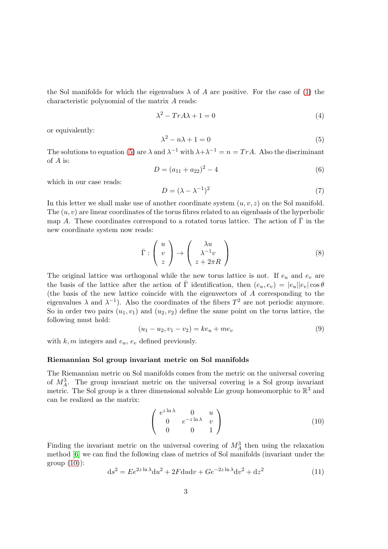the Sol manifolds for which the eigenvalues  $\lambda$  of A are positive. For the case of [\(1\)](#page-1-0) the characteristic polynomial of the matrix A reads:

$$
\lambda^2 - Tr A \lambda + 1 = 0 \tag{4}
$$

or equivalently:

<span id="page-2-0"></span>
$$
\lambda^2 - n\lambda + 1 = 0\tag{5}
$$

The solutions to equation [\(5\)](#page-2-0) are  $\lambda$  and  $\lambda^{-1}$  with  $\lambda + \lambda^{-1} = n = Tr A$ . Also the discriminant of A is:

$$
D = (a_{11} + a_{22})^2 - 4 \tag{6}
$$

which in our case reads:

<span id="page-2-3"></span>
$$
D = (\lambda - \lambda^{-1})^2 \tag{7}
$$

In this letter we shall make use of another coordinate system  $(u, v, z)$  on the Sol manifold. The  $(u, v)$  are linear coordinates of the torus fibres related to an eigenbasis of the hyperbolic map A. These coordinates correspond to a rotated torus lattice. The action of  $\overline{\Gamma}$  in the new coordinate system now reads:

$$
\bar{\Gamma} : \begin{pmatrix} u \\ v \\ z \end{pmatrix} \to \begin{pmatrix} \lambda u \\ \lambda^{-1} v \\ z + 2\pi R \end{pmatrix}
$$
 (8)

The original lattice was orthogonal while the new torus lattice is not. If  $e_u$  and  $e_v$  are the basis of the lattice after the action of  $\overline{\Gamma}$  identification, then  $(e_u, e_v) = |e_u||e_v|\cos\theta$ (the basis of the new lattice coincide with the eigenvectors of A corresponding to the eigenvalues  $\lambda$  and  $\lambda^{-1}$ ). Also the coordinates of the fibers  $T^2$  are not periodic anymore. So in order two pairs  $(u_1, v_1)$  and  $(u_2, v_2)$  define the same point on the torus lattice, the following must hold:

$$
(u_1 - u_2, v_1 - v_2) = ke_u + me_v
$$
\n(9)

with  $k, m$  integers and  $e_u, e_v$  defined previously.

#### Riemannian Sol group invariant metric on Sol manifolds

The Riemannian metric on Sol manifolds comes from the metric on the universal covering of  $M_A^3$ . The group invariant metric on the universal covering is a Sol group invariant metric. The Sol group is a three dimensional solvable Lie group homeomorphic to  $\mathbb{R}^3$  and can be realized as the matrix:

<span id="page-2-1"></span>
$$
\left(\begin{array}{ccc} e^{z\ln\lambda} & 0 & u \\ 0 & e^{-z\ln\lambda} & v \\ 0 & 0 & 1 \end{array}\right) \tag{10}
$$

Finding the invariant metric on the universal covering of  $M_A^3$  then using the relaxation method [\[6\]](#page-12-4) we can find the following class of metrics of Sol manifolds (invariant under the group  $(10)$ :

<span id="page-2-2"></span>
$$
ds2 = E e2z ln \lambda du2 + 2F du dv + Ge-2z ln \lambda dv2 + dz2
$$
 (11)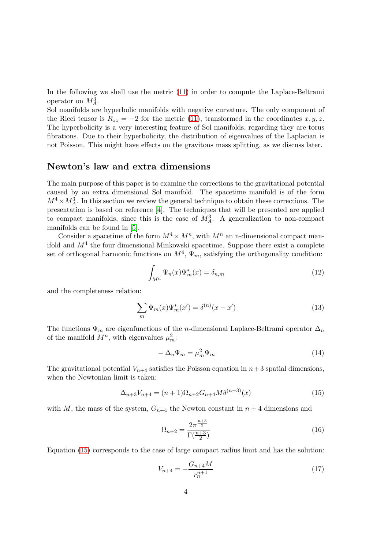In the following we shall use the metric [\(11\)](#page-2-2) in order to compute the Laplace-Beltrami operator on  $M_A^3$ .

Sol manifolds are hyperbolic manifolds with negative curvature. The only component of the Ricci tensor is  $R_{zz} = -2$  for the metric [\(11\)](#page-2-2), transformed in the coordinates  $x, y, z$ . The hyperbolicity is a very interesting feature of Sol manifolds, regarding they are torus fibrations. Due to their hyperbolicity, the distribution of eigenvalues of the Laplacian is not Poisson. This might have effects on the gravitons mass splitting, as we discuss later.

### Newton's law and extra dimensions

The main purpose of this paper is to examine the corrections to the gravitational potential caused by an extra dimensional Sol manifold. The spacetime manifold is of the form  $M^4 \times M_A^3$ . In this section we review the general technique to obtain these corrections. The presentation is based on reference [\[4\]](#page-12-1). The techniques that will be presented are applied to compact manifolds, since this is the case of  $M_A^3$ . A generalization to non-compact manifolds can be found in [\[5\]](#page-12-6).

Consider a spacetime of the form  $M^4 \times M^n$ , with  $M^n$  an n-dimensional compact manifold and  $M<sup>4</sup>$  the four dimensional Minkowski spacetime. Suppose there exist a complete set of orthogonal harmonic functions on  $M^4$ ,  $\Psi_m$ , satisfying the orthogonality condition:

$$
\int_{M^n} \Psi_n(x) \Psi_m^*(x) = \delta_{n,m} \tag{12}
$$

and the completeness relation:

$$
\sum_{m} \Psi_m(x) \Psi_m^*(x') = \delta^{(n)}(x - x')
$$
\n(13)

The functions  $\Psi_m$  are eigenfunctions of the *n*-dimensional Laplace-Beltrami operator  $\Delta_n$ of the manifold  $M^n$ , with eigenvalues  $\mu_m^2$ .

<span id="page-3-1"></span>
$$
-\Delta_n\Psi_m = \mu_m^2\Psi_m \tag{14}
$$

The gravitational potential  $V_{n+4}$  satisfies the Poisson equation in  $n+3$  spatial dimensions, when the Newtonian limit is taken:

<span id="page-3-0"></span>
$$
\Delta_{n+3}V_{n+4} = (n+1)\Omega_{n+2}G_{n+4}M\delta^{(n+3)}(x)
$$
\n(15)

with M, the mass of the system,  $G_{n+4}$  the Newton constant in  $n+4$  dimensions and

$$
\Omega_{n+2} = \frac{2\pi^{\frac{n+3}{2}}}{\Gamma(\frac{n+3}{2})}
$$
\n(16)

Equation [\(15\)](#page-3-0) corresponds to the case of large compact radius limit and has the solution:

$$
V_{n+4} = -\frac{G_{n+4}M}{r_n^{n+1}}\tag{17}
$$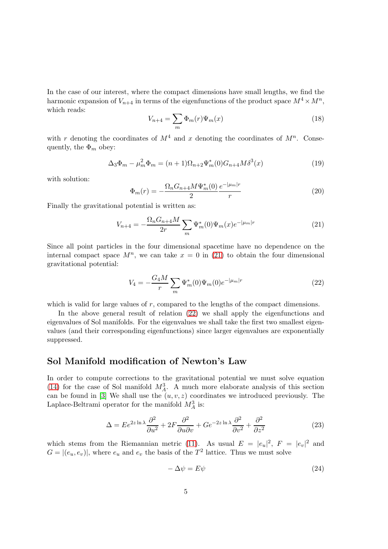In the case of our interest, where the compact dimensions have small lengths, we find the harmonic expansion of  $V_{n+4}$  in terms of the eigenfunctions of the product space  $M^4 \times M^n$ , which reads:

$$
V_{n+4} = \sum_{m} \Phi_m(r) \Psi_m(x) \tag{18}
$$

with r denoting the coordinates of  $M^4$  and x denoting the coordinates of  $M^n$ . Consequently, the  $\Phi_m$  obey:

$$
\Delta_3 \Phi_m - \mu_m^2 \Phi_m = (n+1)\Omega_{n+2} \Psi_m^*(0) G_{n+4} M \delta^3(x)
$$
\n(19)

with solution:

$$
\Phi_m(r) = -\frac{\Omega_n G_{n+4} M \Psi_m^*(0)}{2} \frac{e^{-|\mu_m|r}}{r}
$$
\n(20)

Finally the gravitational potential is written as:

<span id="page-4-0"></span>
$$
V_{n+4} = -\frac{\Omega_n G_{n+4} M}{2r} \sum_m \Psi_m^*(0) \Psi_m(x) e^{-|\mu_m|r}
$$
 (21)

Since all point particles in the four dimensional spacetime have no dependence on the internal compact space  $M^n$ , we can take  $x = 0$  in [\(21\)](#page-4-0) to obtain the four dimensional gravitational potential:

<span id="page-4-1"></span>
$$
V_4 = -\frac{G_4 M}{r} \sum_m \Psi_m^*(0) \Psi_m(0) e^{-|\mu_m| r}
$$
\n(22)

which is valid for large values of r, compared to the lengths of the compact dimensions.

In the above general result of relation [\(22\)](#page-4-1) we shall apply the eigenfunctions and eigenvalues of Sol manifolds. For the eigenvalues we shall take the first two smallest eigenvalues (and their corresponding eigenfunctions) since larger eigenvalues are exponentially suppressed.

### Sol Manifold modification of Newton's Law

In order to compute corrections to the gravitational potential we must solve equation [\(14\)](#page-3-1) for the case of Sol manifold  $M_A^3$ . A much more elaborate analysis of this section can be found in [\[3\]](#page-12-7) We shall use the  $(u, v, z)$  coordinates we introduced previously. The Laplace-Beltrami operator for the manifold  $M_A^3$  is:

$$
\Delta = E e^{2z \ln \lambda} \frac{\partial^2}{\partial u^2} + 2F \frac{\partial^2}{\partial u \partial v} + G e^{-2z \ln \lambda} \frac{\partial^2}{\partial v^2} + \frac{\partial^2}{\partial z^2}
$$
(23)

which stems from the Riemannian metric [\(11\)](#page-2-2). As usual  $E = |e_u|^2$ ,  $F = |e_v|^2$  and  $G = |(e_u, e_v)|$ , where  $e_u$  and  $e_v$  the basis of the  $T^2$  lattice. Thus we must solve

<span id="page-4-2"></span>
$$
-\Delta \psi = E\psi \tag{24}
$$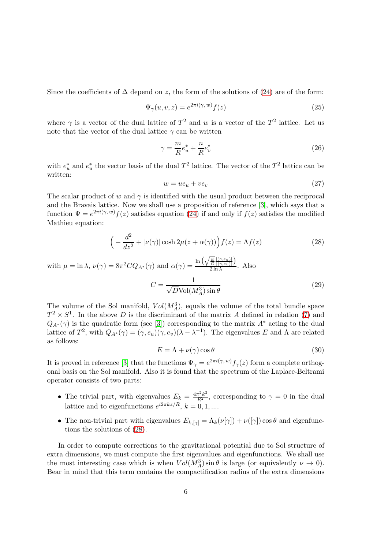Since the coefficients of  $\Delta$  depend on z, the form of the solutions of [\(24\)](#page-4-2) are of the form:

$$
\Psi_{\gamma}(u,v,z) = e^{2\pi i(\gamma,w)}f(z)
$$
\n(25)

where  $\gamma$  is a vector of the dual lattice of  $T^2$  and w is a vector of the  $T^2$  lattice. Let us note that the vector of the dual lattice  $\gamma$  can be written

$$
\gamma = \frac{m}{R}e_u^* + \frac{n}{R}e_v^*
$$
\n<sup>(26)</sup>

with  $e_u^*$  and  $e_u^*$  the vector basis of the dual  $T^2$  lattice. The vector of the  $T^2$  lattice can be written:

$$
w = ue_u + ve_v \tag{27}
$$

The scalar product of w and  $\gamma$  is identified with the usual product between the reciprocal and the Bravais lattice. Now we shall use a proposition of reference [\[3\]](#page-12-7), which says that a function  $\Psi = e^{2\pi i(\gamma, w)} f(z)$  satisfies equation [\(24\)](#page-4-2) if and only if  $f(z)$  satisfies the modified Mathieu equation:

<span id="page-5-0"></span>
$$
\left(-\frac{d^2}{dz^2} + |\nu(\gamma)|\cosh 2\mu(z + \alpha(\gamma))\right) f(z) = \Lambda f(z)
$$
\n(28)

with 
$$
\mu = \ln \lambda
$$
,  $\nu(\gamma) = 8\pi^2 C Q_{A^*}(\gamma)$  and  $\alpha(\gamma) = \frac{\ln\left(\sqrt{\frac{E}{G} \frac{|\langle \gamma, e_u \rangle|}{|\langle \gamma, e_v \rangle|}}\right)}{2\ln \lambda}$ . Also  

$$
C = \frac{1}{\sqrt{D} \text{Vol}(M_A^3) \sin \theta}
$$
(29)

The volume of the Sol manifold,  $Vol(M_A^3)$ , equals the volume of the total bundle space  $T^2 \times S^1$ . In the above D is the discriminant of the matrix A defined in relation [\(7\)](#page-2-3) and  $Q_{A^*}(\gamma)$  is the quadratic form (see [\[3\]](#page-12-7)) corresponding to the matrix  $A^*$  acting to the dual lattice of  $T^2$ , with  $Q_{A^*}(\gamma) = (\gamma, e_u)(\gamma, e_v)(\lambda - \lambda^{-1})$ . The eigenvalues E and  $\Lambda$  are related as follows:

$$
E = \Lambda + \nu(\gamma)\cos\theta\tag{30}
$$

It is proved in reference [\[3\]](#page-12-7) that the functions  $\Psi_{\gamma} = e^{2\pi i(\gamma, w)} f_{\gamma}(z)$  form a complete orthogonal basis on the Sol manifold. Also it is found that the spectrum of the Laplace-Beltrami operator consists of two parts:

- The trivial part, with eigenvalues  $E_k = \frac{4\pi^2 k^2}{R^2}$ , corresponding to  $\gamma = 0$  in the dual lattice and to eigenfunctions  $e^{i2\pi kz/R}$ ,  $k = 0, 1, ...$
- The non-trivial part with eigenvalues  $E_{k,|\gamma|} = \Lambda_k(\nu[\gamma]) + \nu([\gamma]) \cos \theta$  and eigenfunctions the solutions of [\(28\)](#page-5-0).

In order to compute corrections to the gravitational potential due to Sol structure of extra dimensions, we must compute the first eigenvalues and eigenfunctions. We shall use the most interesting case which is when  $Vol(M_A^3)$  sin  $\theta$  is large (or equivalently  $\nu \to 0$ ). Bear in mind that this term contains the compactification radius of the extra dimensions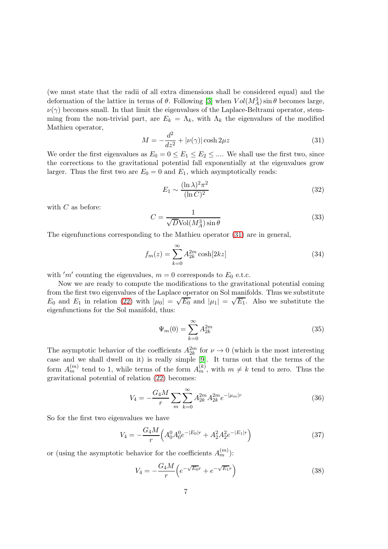(we must state that the radii of all extra dimensions shall be considered equal) and the deformation of the lattice in terms of  $\theta$ . Following [\[3\]](#page-12-7) when  $Vol(M_A^3) \sin \theta$  becomes large,  $\nu(\gamma)$  becomes small. In that limit the eigenvalues of the Laplace-Beltrami operator, stemming from the non-trivial part, are  $E_k = \Lambda_k$ , with  $\Lambda_k$  the eigenvalues of the modified Mathieu operator,

<span id="page-6-0"></span>
$$
M = -\frac{d^2}{dz^2} + |\nu(\gamma)| \cosh 2\mu z \tag{31}
$$

We order the first eigenvalues as  $E_0 = 0 \le E_1 \le E_2 \le ...$  We shall use the first two, since the corrections to the gravitational potential fall exponentially at the eigenvalues grow larger. Thus the first two are  $E_0 = 0$  and  $E_1$ , which asymptotically reads:

<span id="page-6-1"></span>
$$
E_1 \sim \frac{(\ln \lambda)^2 \pi^2}{(\ln C)^2} \tag{32}
$$

with  $C$  as before:

<span id="page-6-2"></span>
$$
C = \frac{1}{\sqrt{D}\text{Vol}(M_A^3)\sin\theta} \tag{33}
$$

The eigenfunctions corresponding to the Mathieu operator [\(31\)](#page-6-0) are in general,

$$
f_m(z) = \sum_{k=0}^{\infty} A_{2k}^{2m} \cosh[2kz]
$$
 (34)

with 'm' counting the eigenvalues,  $m = 0$  corresponds to  $E_0$  e.t.c.

Now we are ready to compute the modifications to the gravitational potential coming from the first two eigenvalues of the Laplace operator on Sol manifolds. Thus we substitute  $E_0$  and  $E_1$  in relation [\(22\)](#page-4-1) with  $|\mu_0| = \sqrt{E_0}$  and  $|\mu_1| = \sqrt{E_1}$ . Also we substitute the eigenfunctions for the Sol manifold, thus:

$$
\Psi_m(0) = \sum_{k=0}^{\infty} A_{2k}^{2m} \tag{35}
$$

The asymptotic behavior of the coefficients  $A_{2k}^{2m}$  for  $\nu \to 0$  (which is the most interesting case and we shall dwell on it) is really simple [\[9\]](#page-12-8). It turns out that the terms of the form  $A_m^{(m)}$  tend to 1, while terms of the form  $A_m^{(k)}$ , with  $m \neq k$  tend to zero. Thus the gravitational potential of relation [\(22\)](#page-4-1) becomes:

$$
V_4 = -\frac{G_4 M}{r} \sum_{m} \sum_{k=0}^{\infty} A_{2k}^{2m} A_{2k}^{2m} e^{-|\mu_m| r}
$$
 (36)

So for the first two eigenvalues we have

$$
V_4 = -\frac{G_4 M}{r} \left( A_0^0 A_0^0 e^{-|E_0|r} + A_2^2 A_2^2 e^{-|E_1|r} \right) \tag{37}
$$

or (using the asymptotic behavior for the coefficients  $A_m^{(m)}$ ):

$$
V_4 = -\frac{G_4 M}{r} \left( e^{-\sqrt{E_0}r} + e^{-\sqrt{E_1}r} \right)
$$
 (38)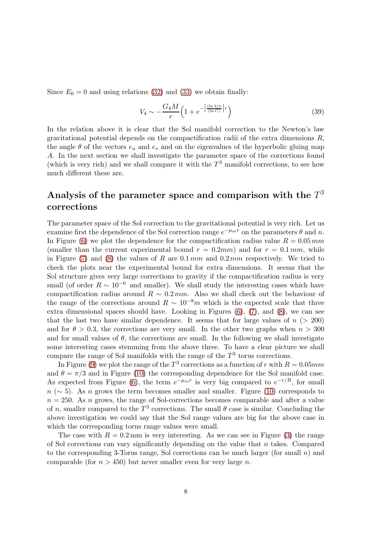Since  $E_0 = 0$  and using relations [\(32\)](#page-6-1) and [\(33\)](#page-6-2) we obtain finally:

$$
V_4 \sim -\frac{G_4 M}{r} \left( 1 + e^{-\left| \frac{(\ln \lambda)\pi}{(\ln C)} \right| r} \right) \tag{39}
$$

In the relation above it is clear that the Sol manifold correction to the Newton's law gravitational potential depends on the compactification radii of the extra dimensions R, the angle  $\theta$  of the vectors  $e_u$  and  $e_v$  and on the eigenvalues of the hyperbolic gluing map A. In the next section we shall investigate the parameter space of the corrections found (which is very rich) and we shall compare it with the  $T^3$  manifold corrections, to see how much different these are.

# Analysis of the parameter space and comparison with the  $T^3$ corrections

The parameter space of the Sol correction to the gravitational potential is very rich. Let us examine first the dependence of the Sol correction range  $e^{-\mu_m r}$  on the parameters  $\theta$  and n. In Figure [\(6\)](#page-13-0) we plot the dependence for the compactification radius value  $R = 0.05$  mm (smaller than the current experimental bound  $r = 0.2mm$ ) and for  $r = 0.1mm$ , while in Figure [\(7\)](#page-13-1) and [\(8\)](#page-14-0) the values of R are  $0.1 \, mm$  and  $0.2 \, mm$  respectively. We tried to check the plots near the experimental bound for extra dimensions. It seems that the Sol structure gives very large corrections to gravity if the compactification radius is very small (of order  $R \sim 10^{-6}$  and smaller). We shall study the interesting cases which have compactification radius around  $R \sim 0.2 \, \text{mm}$ . Also we shall check out the behaviour of the range of the corrections around  $R \sim 10^{-8}m$  which is the expected scale that three extra dimensional spaces should have. Looking in Figures [\(6\)](#page-13-0), [\(7\)](#page-13-1), and [\(8\)](#page-14-0), we can see that the last two have similar dependence. It seems that for large values of  $n$  ( $> 200$ ) and for  $\theta > 0.3$ , the corrections are very small. In the other two graphs when  $n > 300$ and for small values of  $\theta$ , the corrections are small. In the following we shall investigate some interesting cases stemming from the above three. To have a clear picture we shall compare the range of Sol manifolds with the range of the  $T<sup>3</sup>$  torus corrections.

In Figure [\(9\)](#page-14-1) we plot the range of the  $T^3$  corrections as a function of r with  $R = 0.05mm$ and  $\theta = \pi/3$  and in Figure [\(10\)](#page-14-2) the corresponding dependence for the Sol manifold case. As expected from Figure [\(6\)](#page-13-0), the term  $e^{-\mu_m r}$  is very big compared to  $e^{-r/R}$ , for small  $n (\sim 5)$ . As n grows the term becomes smaller and smaller. Figure [\(10\)](#page-14-2) corresponds to  $n = 250$ . As n grows, the range of Sol-corrections becomes comparable and after a value of n, smaller compared to the  $T^3$  corrections. The small  $\theta$  case is similar. Concluding the above investigation we could say that the Sol range values are big for the above case in which the corresponding torus range values were small.

The case with  $R = 0.2$  mm is very interesting. As we can see in Figure [\(3\)](#page-10-0) the range of Sol corrections can vary significantly depending on the value that  $n$  takes. Compared to the corresponding 3-Torus range, Sol corrections can be much larger (for small  $n$ ) and comparable (for  $n > 450$ ) but never smaller even for very large n.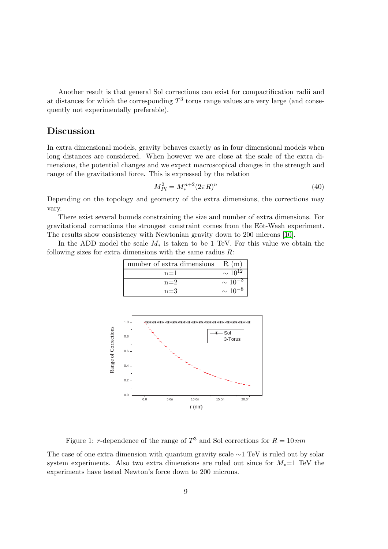Another result is that general Sol corrections can exist for compactification radii and at distances for which the corresponding  $T^3$  torus range values are very large (and consequently not experimentally preferable).

# Discussion

In extra dimensional models, gravity behaves exactly as in four dimensional models when long distances are considered. When however we are close at the scale of the extra dimensions, the potential changes and we expect macroscopical changes in the strength and range of the gravitational force. This is expressed by the relation

<span id="page-8-0"></span>
$$
M_{Pl}^2 = M_*^{n+2} (2\pi R)^n \tag{40}
$$

Depending on the topology and geometry of the extra dimensions, the corrections may vary.

There exist several bounds constraining the size and number of extra dimensions. For gravitational corrections the strongest constraint comes from the Eöt-Wash experiment. The results show consistency with Newtonian gravity down to 200 microns [\[10\]](#page-12-9).

In the ADD model the scale  $M_*$  is taken to be 1 TeV. For this value we obtain the following sizes for extra dimensions with the same radius  $R$ :

| number of extra dimensions | R(m)           |
|----------------------------|----------------|
| $n=1$                      | $\sim 10^{12}$ |
| $n=2$                      | $\sim 10^{-}$  |
| $n=3$                      | $\sim$ 10      |



<span id="page-8-1"></span>Figure 1: r-dependence of the range of  $T^3$  and Sol corrections for  $R = 10 \, nm$ 

The case of one extra dimension with quantum gravity scale ∼1 TeV is ruled out by solar system experiments. Also two extra dimensions are ruled out since for  $M_*=1$  TeV the experiments have tested Newton's force down to 200 microns.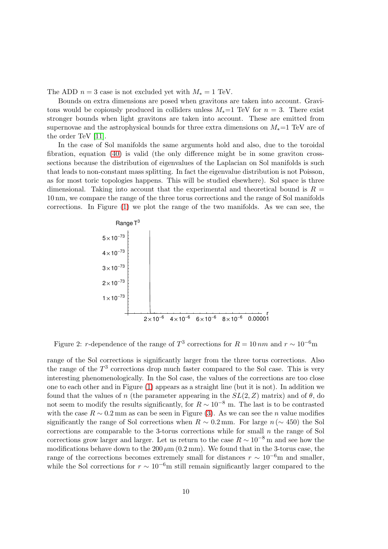The ADD  $n = 3$  case is not excluded yet with  $M_* = 1$  TeV.

Bounds on extra dimensions are posed when gravitons are taken into account. Gravitons would be copiously produced in colliders unless  $M_*=1$  TeV for  $n=3$ . There exist stronger bounds when light gravitons are taken into account. These are emitted from supernovae and the astrophysical bounds for three extra dimensions on  $M_*$ =1 TeV are of the order TeV [\[11\]](#page-12-10).

In the case of Sol manifolds the same arguments hold and also, due to the toroidal fibration, equation [\(40\)](#page-8-0) is valid (the only difference might be in some graviton crosssections because the distribution of eigenvalues of the Laplacian on Sol manifolds is such that leads to non-constant mass splitting. In fact the eigenvalue distribution is not Poisson, as for most toric topologies happens. This will be studied elsewhere). Sol space is three dimensional. Taking into account that the experimental and theoretical bound is  $R =$ 10 nm, we compare the range of the three torus corrections and the range of Sol manifolds corrections. In Figure [\(1\)](#page-8-1) we plot the range of the two manifolds. As we can see, the



<span id="page-9-0"></span>Figure 2: r-dependence of the range of  $T^3$  corrections for  $R = 10 \, nm$  and  $r \sim 10^{-6}$ m

range of the Sol corrections is significantly larger from the three torus corrections. Also the range of the  $T<sup>3</sup>$  corrections drop much faster compared to the Sol case. This is very interesting phenomenologically. In the Sol case, the values of the corrections are too close one to each other and in Figure [\(1\)](#page-8-1) appears as a straight line (but it is not). In addition we found that the values of n (the parameter appearing in the  $SL(2, Z)$  matrix) and of  $\theta$ , do not seem to modify the results significantly, for  $R \sim 10^{-8}$  m. The last is to be contrasted with the case  $R \sim 0.2$  mm as can be seen in Figure [\(3\)](#page-10-0). As we can see the *n* value modifies significantly the range of Sol corrections when  $R \sim 0.2$  mm. For large  $n (\sim 450)$  the Sol corrections are comparable to the 3-torus corrections while for small  $n$  the range of Sol corrections grow larger and larger. Let us return to the case  $R \sim 10^{-8}$  m and see how the modifications behave down to the  $200 \,\mu m$  (0.2 mm). We found that in the 3-torus case, the range of the corrections becomes extremely small for distances  $r \sim 10^{-6}$ m and smaller, while the Sol corrections for  $r \sim 10^{-6}$ m still remain significantly larger compared to the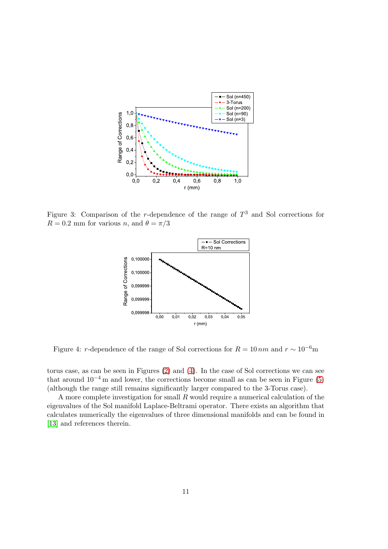

<span id="page-10-0"></span>Figure 3: Comparison of the r-dependence of the range of  $T^3$  and Sol corrections for  $R = 0.2$  mm for various n, and  $\theta = \pi/3$ 



<span id="page-10-1"></span>Figure 4: r-dependence of the range of Sol corrections for  $R = 10 \, nm$  and  $r \sim 10^{-6}$ m

torus case, as can be seen in Figures [\(2\)](#page-9-0) and [\(4\)](#page-10-1). In the case of Sol corrections we can see that around  $10^{-4}$  m and lower, the corrections become small as can be seen in Figure [\(5\)](#page-11-0) (although the range still remains significantly larger compared to the 3-Torus case).

A more complete investigation for small R would require a numerical calculation of the eigenvalues of the Sol manifold Laplace-Beltrami operator. There exists an algorithm that calculates numerically the eigenvalues of three dimensional manifolds and can be found in [\[13\]](#page-12-11) and references therein.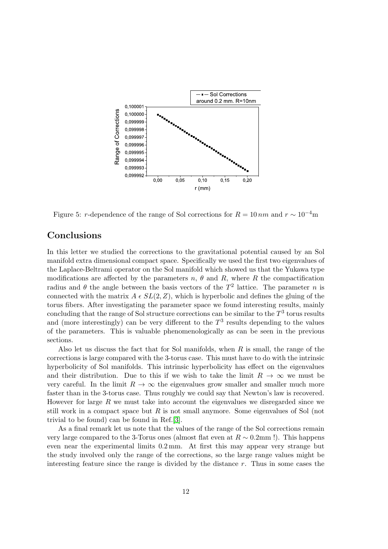

<span id="page-11-0"></span>Figure 5: r-dependence of the range of Sol corrections for  $R = 10 \, nm$  and  $r \sim 10^{-4}$ m

# Conclusions

In this letter we studied the corrections to the gravitational potential caused by an Sol manifold extra dimensional compact space. Specifically we used the first two eigenvalues of the Laplace-Beltrami operator on the Sol manifold which showed us that the Yukawa type modifications are affected by the parameters  $n, \theta$  and  $R$ , where R the compactification radius and  $\theta$  the angle between the basis vectors of the  $T^2$  lattice. The parameter n is connected with the matrix  $A \in SL(2, Z)$ , which is hyperbolic and defines the gluing of the torus fibers. After investigating the parameter space we found interesting results, mainly concluding that the range of Sol structure corrections can be similar to the  $T^3$  torus results and (more interestingly) can be very different to the  $T<sup>3</sup>$  results depending to the values of the parameters. This is valuable phenomenologically as can be seen in the previous sections.

Also let us discuss the fact that for Sol manifolds, when  $R$  is small, the range of the corrections is large compared with the 3-torus case. This must have to do with the intrinsic hyperbolicity of Sol manifolds. This intrinsic hyperbolicity has effect on the eigenvalues and their distribution. Due to this if we wish to take the limit  $R \to \infty$  we must be very careful. In the limit  $R \to \infty$  the eigenvalues grow smaller and smaller much more faster than in the 3-torus case. Thus roughly we could say that Newton's law is recovered. However for large  $R$  we must take into account the eigenvalues we disregarded since we still work in a compact space but  $R$  is not small anymore. Some eigenvalues of Sol (not trivial to be found) can be found in Ref.[\[3\]](#page-12-7).

As a final remark let us note that the values of the range of the Sol corrections remain very large compared to the 3-Torus ones (almost flat even at  $R \sim 0.2$ mm !). This happens even near the experimental limits 0.2 mm. At first this may appear very strange but the study involved only the range of the corrections, so the large range values might be interesting feature since the range is divided by the distance r. Thus in some cases the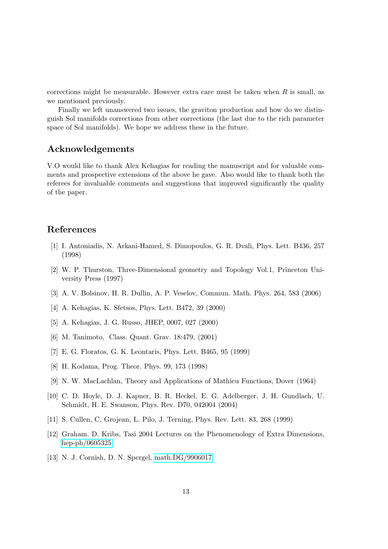corrections might be measurable. However extra care must be taken when  $R$  is small, as we mentioned previously.

Finally we left unanswered two issues, the graviton production and how do we distinguish Sol manifolds corrections from other corrections (the last due to the rich parameter space of Sol manifolds). We hope we address these in the future.

# Acknowledgements

V.O would like to thank Alex Kehagias for reading the manuscript and for valuable comments and prospective extensions of the above he gave. Also would like to thank both the referees for invaluable comments and suggestions that improved significantly the quality of the paper.

# <span id="page-12-0"></span>References

- [1] I. Antoniadis, N. Arkani-Hamed, S. Dimopoulos, G. R. Dvali, Phys. Lett. B436, 257 (1998)
- <span id="page-12-3"></span>[2] W. P. Thurston, Three-Dimensional geometry and Topology Vol.1, Princeton University Press (1997)
- <span id="page-12-7"></span><span id="page-12-1"></span>[3] A. V. Bolsinov, H. R. Dullin, A. P. Veselov, Commun. Math. Phys. 264, 583 (2006)
- <span id="page-12-6"></span>[4] A. Kehagias, K. Sfetsos, Phys. Lett. B472, 39 (2000)
- <span id="page-12-4"></span>[5] A. Kehagias, J. G. Russo, JHEP, 0007, 027 (2000)
- <span id="page-12-2"></span>[6] M. Tanimoto, Class. Quant. Grav. 18:479, (2001)
- <span id="page-12-5"></span>[7] E. G. Floratos, G. K. Leontaris, Phys. Lett. B465, 95 (1999)
- <span id="page-12-8"></span>[8] H. Kodama, Prog. Theor. Phys. 99, 173 (1998)
- <span id="page-12-9"></span>[9] N. W. MacLachlan, Theory and Applications of Mathieu Functions, Dover (1964)
- [10] C. D. Hoyle, D. J. Kapner, B. R. Heckel, E. G. Adelberger, J. H. Gundlach, U. Schmidt, H. E. Swanson, Phys. Rev. D70, 042004 (2004)
- <span id="page-12-10"></span>[11] S. Cullen, C. Grojean, L. Pilo, J. Terning, Phys. Rev. Lett. 83, 268 (1999)
- [12] Graham. D. Kribs, Tasi 2004 Lectures on the Phenomenology of Extra Dimensions, [hep-ph/0605325](http://arxiv.org/abs/hep-ph/0605325)
- <span id="page-12-11"></span>[13] N. J. Cornish, D. N. Spergel, [math.DG/9906017](http://arxiv.org/abs/math/9906017)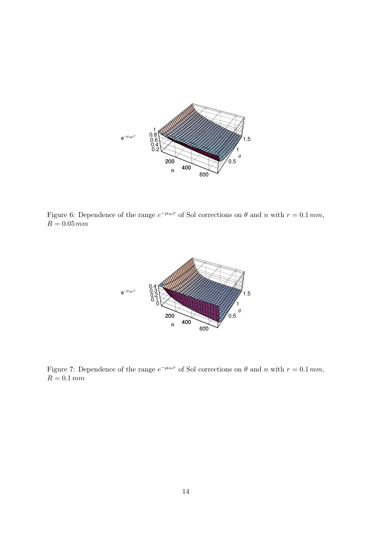

<span id="page-13-0"></span>Figure 6: Dependence of the range  $e^{-\mu_m r}$  of Sol corrections on  $\theta$  and n with  $r = 0.1 \, mm$ ,  $R=0.05\,mm$ 



<span id="page-13-1"></span>Figure 7: Dependence of the range  $e^{-\mu_m r}$  of Sol corrections on  $\theta$  and n with  $r = 0.1 \, mm$ ,  $R=0.1\,mm$